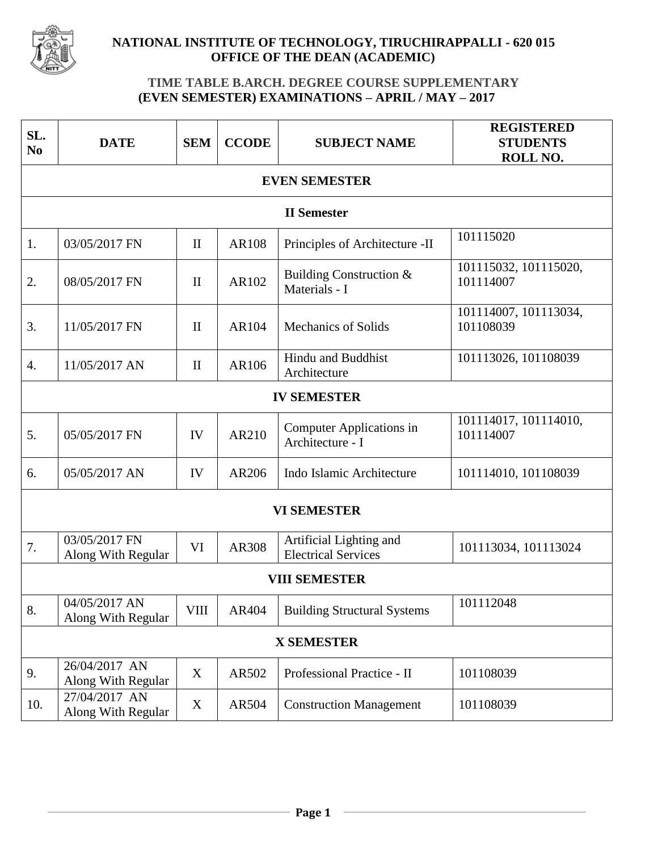

## **NATIONAL INSTITUTE OF TECHNOLOGY, TIRUCHIRAPPALLI - 620 015 OFFICE OF THE DEAN (ACADEMIC)**

## **TIME TABLE B.ARCH. DEGREE COURSE SUPPLEMENTARY (EVEN SEMESTER) EXAMINATIONS – APRIL / MAY – 2017**

| SL.<br>N <sub>0</sub> | <b>DATE</b>                         | <b>SEM</b>   | <b>CCODE</b> | <b>SUBJECT NAME</b>                                   | <b>REGISTERED</b><br><b>STUDENTS</b><br>ROLL NO. |  |  |  |  |
|-----------------------|-------------------------------------|--------------|--------------|-------------------------------------------------------|--------------------------------------------------|--|--|--|--|
| <b>EVEN SEMESTER</b>  |                                     |              |              |                                                       |                                                  |  |  |  |  |
| <b>II</b> Semester    |                                     |              |              |                                                       |                                                  |  |  |  |  |
| 1.                    | 03/05/2017 FN                       | $\mathbf{I}$ | <b>AR108</b> | Principles of Architecture -II                        | 101115020                                        |  |  |  |  |
| 2.                    | 08/05/2017 FN                       | $\mathbf{I}$ | AR102        | Building Construction &<br>Materials - I              | 101115032, 101115020,<br>101114007               |  |  |  |  |
| 3.                    | 11/05/2017 FN                       | $\mathbf{I}$ | AR104        | <b>Mechanics of Solids</b>                            | 101114007, 101113034,<br>101108039               |  |  |  |  |
| $\overline{4}$ .      | 11/05/2017 AN                       | $\mathbf{I}$ | AR106        | Hindu and Buddhist<br>Architecture                    | 101113026, 101108039                             |  |  |  |  |
| <b>IV SEMESTER</b>    |                                     |              |              |                                                       |                                                  |  |  |  |  |
| 5.                    | 05/05/2017 FN                       | IV           | AR210        | <b>Computer Applications in</b><br>Architecture - I   | 101114017, 101114010,<br>101114007               |  |  |  |  |
| 6.                    | 05/05/2017 AN                       | IV           | AR206        | Indo Islamic Architecture                             | 101114010, 101108039                             |  |  |  |  |
| <b>VI SEMESTER</b>    |                                     |              |              |                                                       |                                                  |  |  |  |  |
| 7.                    | 03/05/2017 FN<br>Along With Regular | VI           | AR308        | Artificial Lighting and<br><b>Electrical Services</b> | 101113034, 101113024                             |  |  |  |  |
| <b>VIII SEMESTER</b>  |                                     |              |              |                                                       |                                                  |  |  |  |  |
| 8.                    | 04/05/2017 AN<br>Along With Regular | <b>VIII</b>  | AR404        | <b>Building Structural Systems</b>                    | 101112048                                        |  |  |  |  |
| <b>X SEMESTER</b>     |                                     |              |              |                                                       |                                                  |  |  |  |  |
| 9.                    | 26/04/2017 AN<br>Along With Regular | X            | AR502        | Professional Practice - II                            | 101108039                                        |  |  |  |  |
| 10.                   | 27/04/2017 AN<br>Along With Regular | $\mathbf X$  | AR504        | <b>Construction Management</b>                        | 101108039                                        |  |  |  |  |